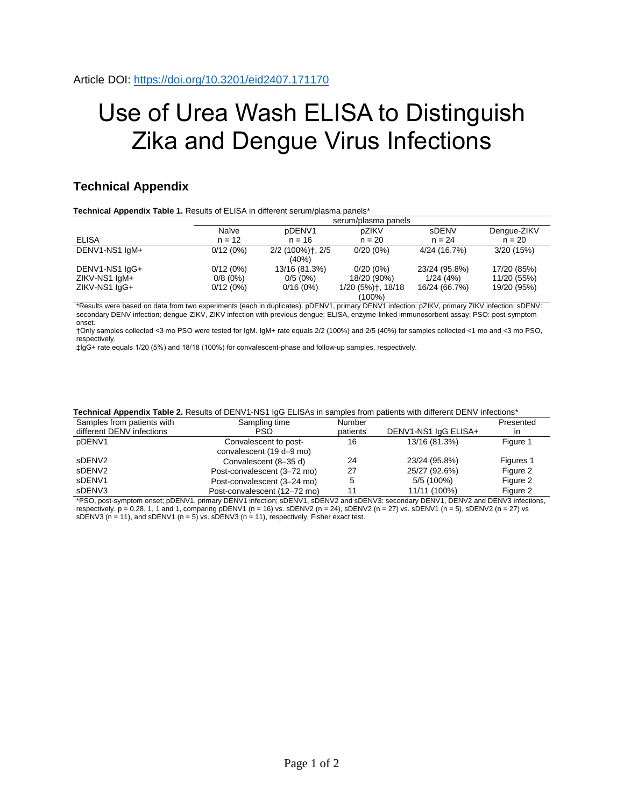## Use of Urea Wash ELISA to Distinguish Zika and Dengue Virus Infections

## **Technical Appendix**

**Technical Appendix Table 1.** Results of ELISA in different serum/plasma panels\*

|                | serum/plasma panels |                  |                   |               |             |  |
|----------------|---------------------|------------------|-------------------|---------------|-------------|--|
|                | Naïve               | pDENV1           | pZIKV             | sDENV         | Dengue-ZIKV |  |
| <b>ELISA</b>   | $n = 12$            | $n = 16$         | $n = 20$          | $n = 24$      | $n = 20$    |  |
| DENV1-NS1 IgM+ | 0/12(0%)            | 2/2 (100%)†, 2/5 | $0/20(0\%)$       | 4/24 (16.7%)  | 3/20(15%)   |  |
|                |                     | $(40\%)$         |                   |               |             |  |
| DENV1-NS1 IgG+ | 0/12(0%)            | 13/16 (81.3%)    | $0/20(0\%)$       | 23/24 (95.8%) | 17/20 (85%) |  |
| ZIKV-NS1 IgM+  | $0/8(0\%)$          | 0/5(0%)          | 18/20 (90%)       | 1/24(4%)      | 11/20 (55%) |  |
| ZIKV-NS1 IgG+  | 0/12(0%)            | 0/16(0%)         | 1/20 (5%)†, 18/18 | 16/24 (66.7%) | 19/20 (95%) |  |
|                | (100%)              |                  |                   |               |             |  |

\*Results were based on data from two experiments (each in duplicates). pDENV1, primary DENV1 infection; pZIKV, primary ZIKV infection; sDENV: secondary DENV infection; dengue-ZIKV, ZIKV infection with previous dengue; ELISA, enzyme-linked immunosorbent assay; PSO: post-symptom onset.

†Only samples collected <3 mo PSO were tested for IgM. IgM+ rate equals 2/2 (100%) and 2/5 (40%) for samples collected <1 mo and <3 mo PSO, respectively.

‡IgG+ rate equals 1/20 (5%) and 18/18 (100%) for convalescent-phase and follow-up samples, respectively.

| Samples from patients with   | Sampling time                | Number   |                       | Presented    |
|------------------------------|------------------------------|----------|-----------------------|--------------|
| different DENV infections    | PSO                          | patients | DENV1-NS1 IgG ELISA+  | $\mathsf{I}$ |
| pDENV1                       | Convalescent to post-        | 16       | 13/16 (81.3%)         | Figure 1     |
|                              | convalescent (19 d-9 mo)     |          |                       |              |
| sDENV2                       | Convalescent (8-35 d)        | 24       | 23/24 (95.8%)         | Figures 1    |
| sDENV2                       | Post-convalescent (3-72 mo)  | 27       | 25/27 (92.6%)         | Figure 2     |
| sDENV1                       | Post-convalescent (3-24 mo)  |          | 5/5 (100%)            | Figure 2     |
| sDENV3                       | Post-convalescent (12-72 mo) |          | 11/11 (100%)          | Figure 2     |
| $- - - -$<br>$- - - - - - -$ | -----<br>-----               | $- - -$  | $P - 1111 - P - 1112$ |              |

## **Technical Appendix Table 2.** Results of DENV1-NS1 IgG ELISAs in samples from patients with different DENV infections\*

\*PSO, post-symptom onset; pDENV1, primary DENV1 infection; sDENV1, sDENV2 and sDENV3: secondary DENV1, DENV2 and DENV3 infections, respectively.  $p = 0.28$ , 1, 1 and 1, comparing  $p$ DENV1 (n = 16) vs. sDENV2 (n = 24), sDENV2 (n = 27) vs. sDENV1 (n = 5), sDENV2 (n = 27) vs. sDENV3 ( $n = 11$ ), and sDENV1 ( $n = 5$ ) vs. sDENV3 ( $n = 11$ ), respectively, Fisher exact test.